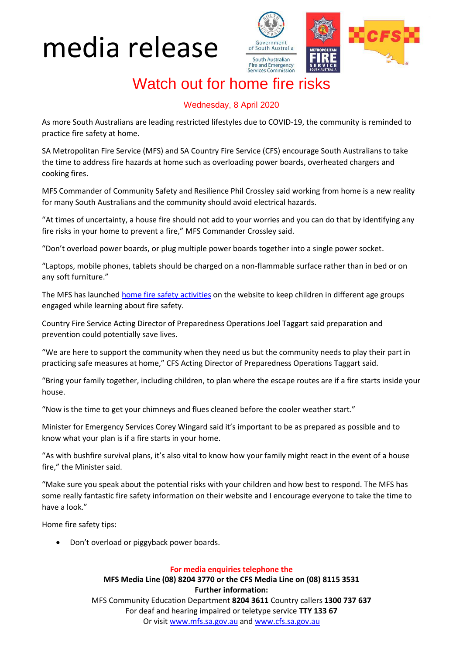## media release



### Watch out for home fire risks

### Wednesday, 8 April 2020

As more South Australians are leading restricted lifestyles due to COVID-19, the community is reminded to practice fire safety at home.

SA Metropolitan Fire Service (MFS) and SA Country Fire Service (CFS) encourage South Australians to take the time to address fire hazards at home such as overloading power boards, overheated chargers and cooking fires.

MFS Commander of Community Safety and Resilience Phil Crossley said working from home is a new reality for many South Australians and the community should avoid electrical hazards.

"At times of uncertainty, a house fire should not add to your worries and you can do that by identifying any fire risks in your home to prevent a fire," MFS Commander Crossley said.

"Don't overload power boards, or plug multiple power boards together into a single power socket.

"Laptops, mobile phones, tablets should be charged on a non-flammable surface rather than in bed or on any soft furniture."

The MFS has launche[d home fire safety activities](https://www.mfs.sa.gov.au/site/community_safety/home_safety_activities.jsp) on the website to keep children in different age groups engaged while learning about fire safety.

Country Fire Service Acting Director of Preparedness Operations Joel Taggart said preparation and prevention could potentially save lives.

"We are here to support the community when they need us but the community needs to play their part in practicing safe measures at home," CFS Acting Director of Preparedness Operations Taggart said.

"Bring your family together, including children, to plan where the escape routes are if a fire starts inside your house.

"Now is the time to get your chimneys and flues cleaned before the cooler weather start."

Minister for Emergency Services Corey Wingard said it's important to be as prepared as possible and to know what your plan is if a fire starts in your home.

"As with bushfire survival plans, it's also vital to know how your family might react in the event of a house fire," the Minister said.

"Make sure you speak about the potential risks with your children and how best to respond. The MFS has some really fantastic fire safety information on their website and I encourage everyone to take the time to have a look."

Home fire safety tips:

Don't overload or piggyback power boards.

#### **For media enquiries telephone the**

**MFS Media Line (08) 8204 3770 or the CFS Media Line on (08) 8115 3531 Further information:** MFS Community Education Department **8204 3611** Country callers **1300 737 637** For deaf and hearing impaired or teletype service **TTY 133 67** Or visit [www.mfs.sa.gov.au](http://www.mfs.sa.gov.au/) an[d www.cfs.sa.gov.au](http://www.cfs.sa.gov.au/)